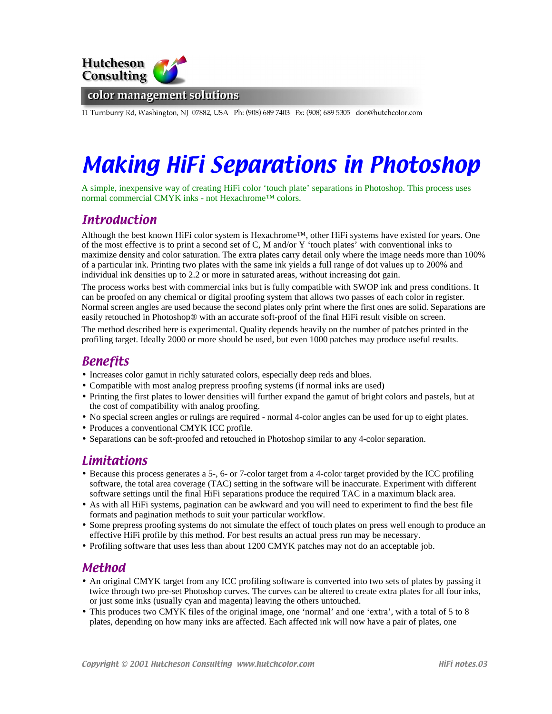

11 Turnburry Rd, Washington, NJ 07882, USA Ph: (908) 689 7403 Fx: (908) 689 5305 don@hutchcolor.com

# Making HiFi Separations in Photoshop

A simple, inexpensive way of creating HiFi color 'touch plate' separations in Photoshop. This process uses normal commercial CMYK inks - not Hexachrome™ colors.

# **Introduction**

Although the best known HiFi color system is Hexachrome™, other HiFi systems have existed for years. One of the most effective is to print a second set of C, M and/or Y 'touch plates' with conventional inks to maximize density and color saturation. The extra plates carry detail only where the image needs more than 100% of a particular ink. Printing two plates with the same ink yields a full range of dot values up to 200% and individual ink densities up to 2.2 or more in saturated areas, without increasing dot gain.

The process works best with commercial inks but is fully compatible with SWOP ink and press conditions. It can be proofed on any chemical or digital proofing system that allows two passes of each color in register. Normal screen angles are used because the second plates only print where the first ones are solid. Separations are easily retouched in Photoshop® with an accurate soft-proof of the final HiFi result visible on screen.

The method described here is experimental. Quality depends heavily on the number of patches printed in the profiling target. Ideally 2000 or more should be used, but even 1000 patches may produce useful results.

# Benefits

- Increases color gamut in richly saturated colors, especially deep reds and blues.
- Compatible with most analog prepress proofing systems (if normal inks are used)
- Printing the first plates to lower densities will further expand the gamut of bright colors and pastels, but at the cost of compatibility with analog proofing.
- No special screen angles or rulings are required normal 4-color angles can be used for up to eight plates.
- Produces a conventional CMYK ICC profile.
- Separations can be soft-proofed and retouched in Photoshop similar to any 4-color separation.

# Limitations

- Because this process generates a 5-, 6- or 7-color target from a 4-color target provided by the ICC profiling software, the total area coverage (TAC) setting in the software will be inaccurate. Experiment with different software settings until the final HiFi separations produce the required TAC in a maximum black area.
- As with all HiFi systems, pagination can be awkward and you will need to experiment to find the best file formats and pagination methods to suit your particular workflow.
- Some prepress proofing systems do not simulate the effect of touch plates on press well enough to produce an effective HiFi profile by this method. For best results an actual press run may be necessary.
- Profiling software that uses less than about 1200 CMYK patches may not do an acceptable job.

#### Method

- An original CMYK target from any ICC profiling software is converted into two sets of plates by passing it twice through two pre-set Photoshop curves. The curves can be altered to create extra plates for all four inks, or just some inks (usually cyan and magenta) leaving the others untouched.
- This produces two CMYK files of the original image, one 'normal' and one 'extra', with a total of 5 to 8 plates, depending on how many inks are affected. Each affected ink will now have a pair of plates, one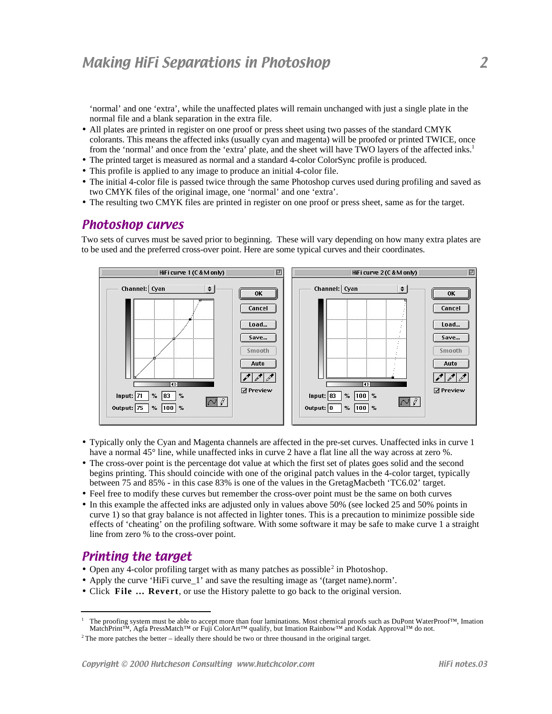'normal' and one 'extra', while the unaffected plates will remain unchanged with just a single plate in the normal file and a blank separation in the extra file.

- All plates are printed in register on one proof or press sheet using two passes of the standard CMYK colorants. This means the affected inks (usually cyan and magenta) will be proofed or printed TWICE, once from the 'normal' and once from the 'extra' plate, and the sheet will have TWO layers of the affected inks.<sup>1</sup>
- The printed target is measured as normal and a standard 4-color ColorSync profile is produced.
- This profile is applied to any image to produce an initial 4-color file.
- The initial 4-color file is passed twice through the same Photoshop curves used during profiling and saved as two CMYK files of the original image, one 'normal' and one 'extra'.
- The resulting two CMYK files are printed in register on one proof or press sheet, same as for the target.

#### Photoshop curves

Two sets of curves must be saved prior to beginning. These will vary depending on how many extra plates are to be used and the preferred cross-over point. Here are some typical curves and their coordinates.



- Typically only the Cyan and Magenta channels are affected in the pre-set curves. Unaffected inks in curve 1 have a normal 45° line, while unaffected inks in curve 2 have a flat line all the way across at zero %.
- The cross-over point is the percentage dot value at which the first set of plates goes solid and the second begins printing. This should coincide with one of the original patch values in the 4-color target, typically between 75 and 85% - in this case 83% is one of the values in the GretagMacbeth 'TC6.02' target.
- Feel free to modify these curves but remember the cross-over point must be the same on both curves
- In this example the affected inks are adjusted only in values above 50% (see locked 25 and 50% points in curve 1) so that gray balance is not affected in lighter tones. This is a precaution to minimize possible side effects of 'cheating' on the profiling software. With some software it may be safe to make curve 1 a straight line from zero % to the cross-over point.

#### Printing the target

l

- Open any 4-color profiling target with as many patches as possible<sup>2</sup> in Photoshop.
- Apply the curve 'HiFi curve\_1' and save the resulting image as '(target name).norm'.
- Click **File … Revert**, or use the History palette to go back to the original version.

<sup>1</sup> The proofing system must be able to accept more than four laminations. Most chemical proofs such as DuPont WaterProof™, Imation MatchPrint™, Agfa PressMatch™ or Fuji ColorArt™ qualify, but Imation Rainbow™ and Kodak Approval™ do not.

 $2$ <sup>2</sup> The more patches the better – ideally there should be two or three thousand in the original target.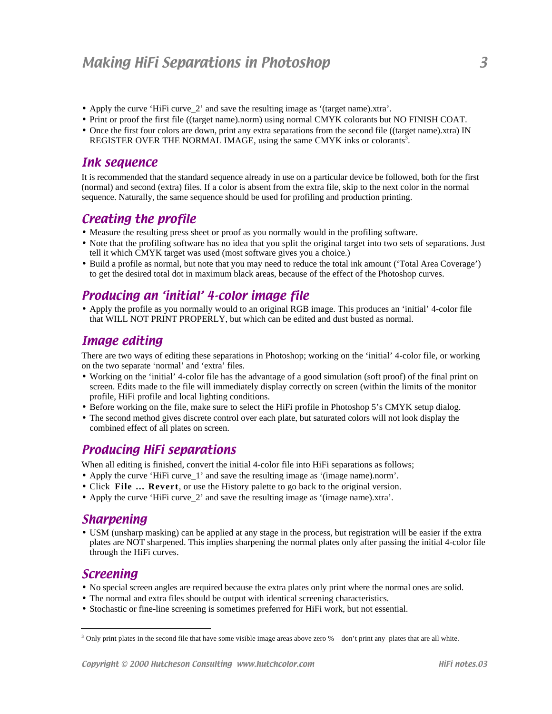- Apply the curve 'HiFi curve\_2' and save the resulting image as '(target name).xtra'.
- Print or proof the first file ((target name).norm) using normal CMYK colorants but NO FINISH COAT.
- Once the first four colors are down, print any extra separations from the second file ((target name).xtra) IN REGISTER OVER THE NORMAL IMAGE, using the same CMYK inks or colorants<sup>3</sup>.

#### Ink sequence

It is recommended that the standard sequence already in use on a particular device be followed, both for the first (normal) and second (extra) files. If a color is absent from the extra file, skip to the next color in the normal sequence. Naturally, the same sequence should be used for profiling and production printing.

# Creating the profile

- Measure the resulting press sheet or proof as you normally would in the profiling software.
- Note that the profiling software has no idea that you split the original target into two sets of separations. Just tell it which CMYK target was used (most software gives you a choice.)
- Build a profile as normal, but note that you may need to reduce the total ink amount ('Total Area Coverage') to get the desired total dot in maximum black areas, because of the effect of the Photoshop curves.

# Producing an 'initial' 4-color image file

• Apply the profile as you normally would to an original RGB image. This produces an 'initial' 4-color file that WILL NOT PRINT PROPERLY, but which can be edited and dust busted as normal.

# Image editing

There are two ways of editing these separations in Photoshop; working on the 'initial' 4-color file, or working on the two separate 'normal' and 'extra' files.

- Working on the 'initial' 4-color file has the advantage of a good simulation (soft proof) of the final print on screen. Edits made to the file will immediately display correctly on screen (within the limits of the monitor profile, HiFi profile and local lighting conditions.
- Before working on the file, make sure to select the HiFi profile in Photoshop 5's CMYK setup dialog.
- The second method gives discrete control over each plate, but saturated colors will not look display the combined effect of all plates on screen.

# Producing HiFi separations

When all editing is finished, convert the initial 4-color file into HiFi separations as follows;

- Apply the curve 'HiFi curve\_1' and save the resulting image as '(image name).norm'.
- Click **File … Revert**, or use the History palette to go back to the original version.
- Apply the curve 'HiFi curve\_2' and save the resulting image as '(image name).xtra'.

## Sharpening

• USM (unsharp masking) can be applied at any stage in the process, but registration will be easier if the extra plates are NOT sharpened. This implies sharpening the normal plates only after passing the initial 4-color file through the HiFi curves.

# Screening

1

- No special screen angles are required because the extra plates only print where the normal ones are solid.
- The normal and extra files should be output with identical screening characteristics.
- Stochastic or fine-line screening is sometimes preferred for HiFi work, but not essential.

 $3$  Only print plates in the second file that have some visible image areas above zero  $%$  – don't print any plates that are all white.